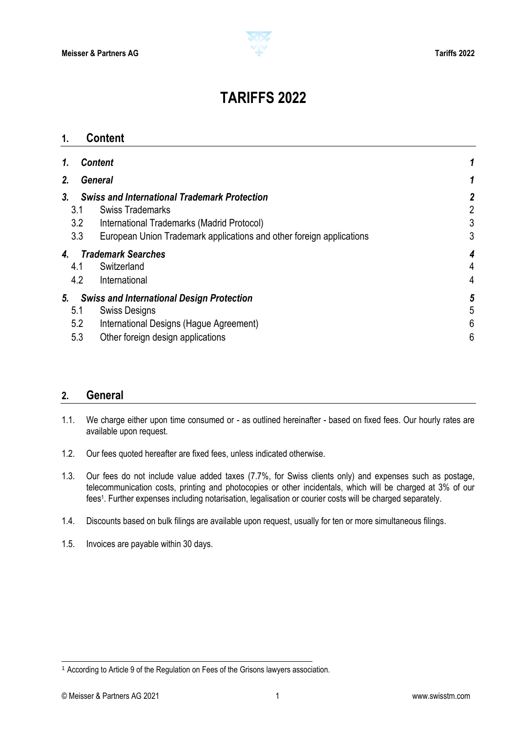

# **TARIFFS 2022**

<span id="page-0-0"></span>

| $\mathbf 1$ |                   | <b>Content</b>                                                                                                                                                                                       |                          |
|-------------|-------------------|------------------------------------------------------------------------------------------------------------------------------------------------------------------------------------------------------|--------------------------|
| 1.          |                   | <b>Content</b>                                                                                                                                                                                       |                          |
| 2.          |                   | <b>General</b>                                                                                                                                                                                       |                          |
| 3.          | 3.1<br>3.2<br>3.3 | <b>Swiss and International Trademark Protection</b><br><b>Swiss Trademarks</b><br>International Trademarks (Madrid Protocol)<br>European Union Trademark applications and other foreign applications | $\overline{c}$<br>3<br>3 |
| 4.          | 4.1<br>4.2        | <b>Trademark Searches</b><br>Switzerland<br>International                                                                                                                                            | 4<br>4                   |
| 5.          | 5.1<br>5.2<br>5.3 | <b>Swiss and International Design Protection</b><br><b>Swiss Designs</b><br>International Designs (Hague Agreement)<br>Other foreign design applications                                             | 5<br>6<br>6              |

### <span id="page-0-1"></span>**2. General**

- 1.1. We charge either upon time consumed or as outlined hereinafter based on fixed fees. Our hourly rates are available upon request.
- 1.2. Our fees quoted hereafter are fixed fees, unless indicated otherwise.
- 1.3. Our fees do not include value added taxes (7.7%, for Swiss clients only) and expenses such as postage, telecommunication costs, printing and photocopies or other incidentals, which will be charged at 3% of our fees<sup>1</sup> . Further expenses including notarisation, legalisation or courier costs will be charged separately.
- 1.4. Discounts based on bulk filings are available upon request, usually for ten or more simultaneous filings.
- 1.5. Invoices are payable within 30 days.

l

<sup>1</sup> According to Article 9 of the Regulation on Fees of the Grisons lawyers association.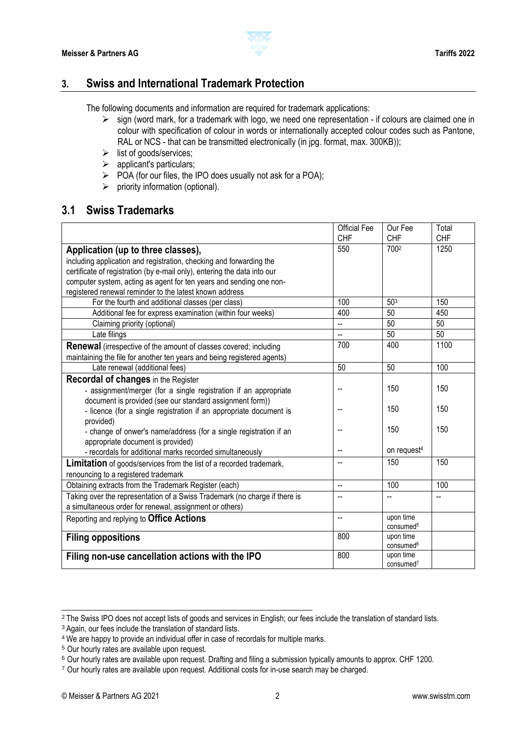

### <span id="page-1-0"></span>**3. Swiss and International Trademark Protection**

The following documents and information are required for trademark applications:

- $\triangleright$  sign (word mark, for a trademark with logo, we need one representation if colours are claimed one in colour with specification of colour in words or internationally accepted colour codes such as Pantone, RAL or NCS - that can be transmitted electronically (in jpg. format, max. 300KB));
- $\triangleright$  list of goods/services;
- $\triangleright$  applicant's particulars;
- $\triangleright$  POA (for our files, the IPO does usually not ask for a POA);
- $\triangleright$  priority information (optional).

### <span id="page-1-1"></span>**3.1 Swiss Trademarks**

|                                                                            | <b>Official Fee</b>      | Our Fee                 | Total      |
|----------------------------------------------------------------------------|--------------------------|-------------------------|------------|
|                                                                            | <b>CHF</b>               | <b>CHF</b>              | <b>CHF</b> |
| Application (up to three classes),                                         | 550                      | 7002                    | 1250       |
| including application and registration, checking and forwarding the        |                          |                         |            |
| certificate of registration (by e-mail only), entering the data into our   |                          |                         |            |
| computer system, acting as agent for ten years and sending one non-        |                          |                         |            |
| registered renewal reminder to the latest known address                    |                          |                         |            |
| For the fourth and additional classes (per class)                          | 100                      | 503                     | 150        |
| Additional fee for express examination (within four weeks)                 | 400                      | 50                      | 450        |
| Claiming priority (optional)                                               | --                       | 50                      | 50         |
| Late filings                                                               | Ξ.                       | 50                      | 50         |
| <b>Renewal</b> (irrespective of the amount of classes covered; including   | 700                      | 400                     | 1100       |
| maintaining the file for another ten years and being registered agents)    |                          |                         |            |
| Late renewal (additional fees)                                             | 50                       | 50                      | 100        |
| <b>Recordal of changes in the Register</b>                                 |                          |                         |            |
| - assignment/merger (for a single registration if an appropriate           |                          | 150                     | 150        |
| document is provided (see our standard assignment form))                   |                          |                         |            |
| - licence (for a single registration if an appropriate document is         |                          | 150                     | 150        |
| provided)                                                                  |                          |                         |            |
| - change of onwer's name/address (for a single registration if an          | --                       | 150                     | 150        |
| appropriate document is provided)                                          |                          |                         |            |
| - recordals for additional marks recorded simultaneously                   | $\overline{a}$           | on request <sup>4</sup> |            |
| <b>Limitation</b> of goods/services from the list of a recorded trademark, | --                       | 150                     | 150        |
| renouncing to a registered trademark                                       |                          |                         |            |
| Obtaining extracts from the Trademark Register (each)                      | $\overline{\phantom{a}}$ | 100                     | 100        |
| Taking over the representation of a Swiss Trademark (no charge if there is | --                       |                         |            |
| a simultaneous order for renewal, assignment or others)                    |                          |                         |            |
| Reporting and replying to Office Actions                                   | --                       | upon time               |            |
|                                                                            |                          | consumed <sup>5</sup>   |            |
| <b>Filing oppositions</b>                                                  | 800                      | upon time               |            |
|                                                                            |                          | consumed <sup>6</sup>   |            |
| Filing non-use cancellation actions with the IPO                           | 800                      | upon time               |            |
|                                                                            |                          | consumed <sup>7</sup>   |            |

<sup>&</sup>lt;sup>2</sup> The Swiss IPO does not accept lists of goods and services in English; our fees include the translation of standard lists.

<sup>3</sup> Again, our fees include the translation of standard lists.

<sup>4</sup> We are happy to provide an individual offer in case of recordals for multiple marks.

<sup>5</sup> Our hourly rates are available upon request.

<sup>6</sup> Our hourly rates are available upon request. Drafting and filing a submission typically amounts to approx. CHF 1200.

<sup>7</sup> Our hourly rates are available upon request. Additional costs for in-use search may be charged.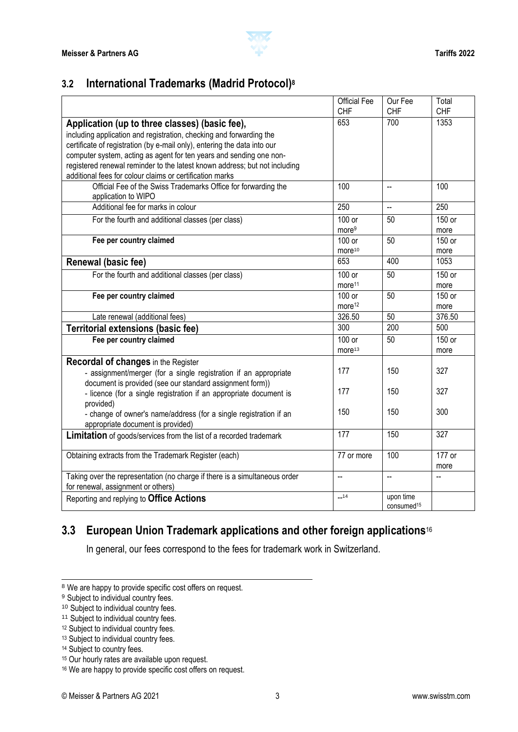

### <span id="page-2-0"></span>**3.2 International Trademarks (Madrid Protocol)<sup>8</sup>**

|                                                                            | <b>Official Fee</b>      | Our Fee                  | Total      |
|----------------------------------------------------------------------------|--------------------------|--------------------------|------------|
|                                                                            | <b>CHF</b>               | <b>CHF</b>               | <b>CHF</b> |
| Application (up to three classes) (basic fee),                             | 653                      | 700                      | 1353       |
| including application and registration, checking and forwarding the        |                          |                          |            |
| certificate of registration (by e-mail only), entering the data into our   |                          |                          |            |
| computer system, acting as agent for ten years and sending one non-        |                          |                          |            |
| registered renewal reminder to the latest known address; but not including |                          |                          |            |
| additional fees for colour claims or certification marks                   |                          |                          |            |
| Official Fee of the Swiss Trademarks Office for forwarding the             | 100                      | $\overline{\phantom{a}}$ | 100        |
| application to WIPO                                                        |                          |                          |            |
| Additional fee for marks in colour                                         | 250                      | L.                       | 250        |
| For the fourth and additional classes (per class)                          | 100 or                   | 50                       | 150 or     |
|                                                                            | more <sup>9</sup>        |                          | more       |
| Fee per country claimed                                                    | 100 or                   | 50                       | 150 or     |
|                                                                            | more <sup>10</sup>       |                          | more       |
| Renewal (basic fee)                                                        | 653                      | 400                      | 1053       |
| For the fourth and additional classes (per class)                          | 100 or                   | 50                       | 150 or     |
|                                                                            | more <sup>11</sup>       |                          | more       |
| Fee per country claimed                                                    | 100 or                   | 50                       | 150 or     |
|                                                                            | more <sup>12</sup>       |                          | more       |
| Late renewal (additional fees)                                             | 326.50                   | 50                       | 376.50     |
| <b>Territorial extensions (basic fee)</b>                                  | 300                      | 200                      | 500        |
| Fee per country claimed                                                    | 100 or                   | 50                       | 150 or     |
|                                                                            | more <sup>13</sup>       |                          | more       |
| <b>Recordal of changes in the Register</b>                                 |                          |                          |            |
| - assignment/merger (for a single registration if an appropriate           | 177                      | 150                      | 327        |
| document is provided (see our standard assignment form))                   |                          |                          |            |
| - licence (for a single registration if an appropriate document is         | 177                      | 150                      | 327        |
| provided)                                                                  |                          |                          |            |
| - change of owner's name/address (for a single registration if an          | 150                      | 150                      | 300        |
| appropriate document is provided)                                          |                          |                          |            |
| <b>Limitation</b> of goods/services from the list of a recorded trademark  | 177                      | 150                      | 327        |
| Obtaining extracts from the Trademark Register (each)                      | 77 or more               | 100                      | 177 or     |
|                                                                            |                          |                          | more       |
| Taking over the representation (no charge if there is a simultaneous order | $\overline{\phantom{a}}$ | L.                       |            |
| for renewal, assignment or others)                                         |                          |                          |            |
| Reporting and replying to Office Actions                                   | $-14$                    | upon time                |            |
|                                                                            |                          | consumed <sup>15</sup>   |            |

# <span id="page-2-1"></span>**3.3 European Union Trademark applications and other foreign applications**<sup>16</sup>

In general, our fees correspond to the fees for trademark work in Switzerland.

<sup>&</sup>lt;sup>8</sup> We are happy to provide specific cost offers on request.

<sup>&</sup>lt;sup>9</sup> Subject to individual country fees.

<sup>&</sup>lt;sup>10</sup> Subject to individual country fees.

<sup>&</sup>lt;sup>11</sup> Subject to individual country fees.

<sup>&</sup>lt;sup>12</sup> Subject to individual country fees.

<sup>13</sup> Subject to individual country fees.

<sup>14</sup> Subject to country fees.

<sup>&</sup>lt;sup>15</sup> Our hourly rates are available upon request.

<sup>&</sup>lt;sup>16</sup> We are happy to provide specific cost offers on request.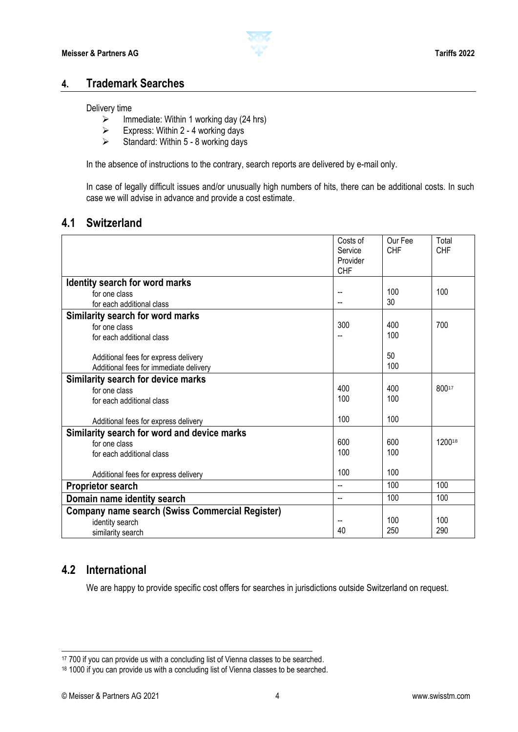

### <span id="page-3-0"></span>**4. Trademark Searches**

#### Delivery time

- $\geq$  Immediate: Within 1 working day (24 hrs)<br> $\geq$  Express: Within 2 4 working days
- Express: Within 2 4 working days<br>  $\triangleright$  Standard: Within 5 8 working days
- Standard: Within 5 8 working days

In the absence of instructions to the contrary, search reports are delivered by e-mail only.

In case of legally difficult issues and/or unusually high numbers of hits, there can be additional costs. In such case we will advise in advance and provide a cost estimate.

### <span id="page-3-1"></span>**4.1 Switzerland**

|                                                        | Costs of<br>Service<br>Provider<br><b>CHF</b> | Our Fee<br><b>CHF</b> | Total<br><b>CHF</b> |
|--------------------------------------------------------|-----------------------------------------------|-----------------------|---------------------|
| Identity search for word marks                         |                                               |                       |                     |
| for one class                                          | --                                            | 100                   | 100                 |
| for each additional class                              |                                               | 30                    |                     |
| Similarity search for word marks                       |                                               |                       |                     |
| for one class                                          | 300                                           | 400                   | 700                 |
| for each additional class                              |                                               | 100                   |                     |
|                                                        |                                               |                       |                     |
| Additional fees for express delivery                   |                                               | 50                    |                     |
| Additional fees for immediate delivery                 |                                               | 100                   |                     |
| Similarity search for device marks                     |                                               |                       |                     |
| for one class                                          | 400                                           | 400                   | 80017               |
| for each additional class                              | 100                                           | 100                   |                     |
|                                                        |                                               |                       |                     |
| Additional fees for express delivery                   | 100                                           | 100                   |                     |
| Similarity search for word and device marks            |                                               |                       |                     |
| for one class                                          | 600                                           | 600                   | 120018              |
| for each additional class                              | 100                                           | 100                   |                     |
|                                                        |                                               |                       |                     |
| Additional fees for express delivery                   | 100                                           | 100                   |                     |
| <b>Proprietor search</b>                               | -−                                            | 100                   | 100                 |
| Domain name identity search                            | --                                            | 100                   | 100                 |
| <b>Company name search (Swiss Commercial Register)</b> |                                               |                       |                     |
| identity search                                        |                                               | 100                   | 100                 |
| similarity search                                      | 40                                            | 250                   | 290                 |

### <span id="page-3-2"></span>**4.2 International**

We are happy to provide specific cost offers for searches in jurisdictions outside Switzerland on request.

<sup>&</sup>lt;sup>17</sup> 700 if you can provide us with a concluding list of Vienna classes to be searched.

<sup>18 1000</sup> if you can provide us with a concluding list of Vienna classes to be searched.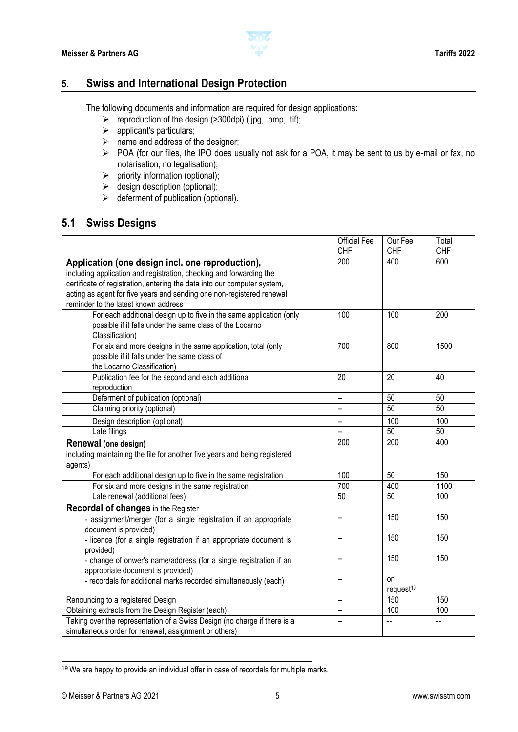

### <span id="page-4-0"></span>**5. Swiss and International Design Protection**

The following documents and information are required for design applications:

- $\triangleright$  reproduction of the design (>300dpi) (.jpg, .bmp, .tif);
- $\triangleright$  applicant's particulars;
- $\triangleright$  name and address of the designer;
- POA (for our files, the IPO does usually not ask for a POA, it may be sent to us by e-mail or fax, no notarisation, no legalisation);
- $\triangleright$  priority information (optional);
- $\triangleright$  design description (optional);
- $\triangleright$  deferment of publication (optional).

### <span id="page-4-1"></span>**5.1 Swiss Designs**

|                                                                                                                                                                                                                                                                                                                                                                                                                                                                                                                                                                                                                                                                                           | <b>Official Fee</b>                                                               | Our Fee                                                                                              | Total                                                                                      |
|-------------------------------------------------------------------------------------------------------------------------------------------------------------------------------------------------------------------------------------------------------------------------------------------------------------------------------------------------------------------------------------------------------------------------------------------------------------------------------------------------------------------------------------------------------------------------------------------------------------------------------------------------------------------------------------------|-----------------------------------------------------------------------------------|------------------------------------------------------------------------------------------------------|--------------------------------------------------------------------------------------------|
|                                                                                                                                                                                                                                                                                                                                                                                                                                                                                                                                                                                                                                                                                           | <b>CHF</b>                                                                        | <b>CHF</b>                                                                                           | <b>CHF</b>                                                                                 |
| Application (one design incl. one reproduction),                                                                                                                                                                                                                                                                                                                                                                                                                                                                                                                                                                                                                                          | 200                                                                               | 400                                                                                                  | 600                                                                                        |
| including application and registration, checking and forwarding the                                                                                                                                                                                                                                                                                                                                                                                                                                                                                                                                                                                                                       |                                                                                   |                                                                                                      |                                                                                            |
| certificate of registration, entering the data into our computer system,                                                                                                                                                                                                                                                                                                                                                                                                                                                                                                                                                                                                                  |                                                                                   |                                                                                                      |                                                                                            |
| acting as agent for five years and sending one non-registered renewal                                                                                                                                                                                                                                                                                                                                                                                                                                                                                                                                                                                                                     |                                                                                   |                                                                                                      |                                                                                            |
| reminder to the latest known address                                                                                                                                                                                                                                                                                                                                                                                                                                                                                                                                                                                                                                                      |                                                                                   |                                                                                                      |                                                                                            |
| For each additional design up to five in the same application (only                                                                                                                                                                                                                                                                                                                                                                                                                                                                                                                                                                                                                       | 100                                                                               | 100                                                                                                  | 200                                                                                        |
| possible if it falls under the same class of the Locarno                                                                                                                                                                                                                                                                                                                                                                                                                                                                                                                                                                                                                                  |                                                                                   |                                                                                                      |                                                                                            |
| Classification)                                                                                                                                                                                                                                                                                                                                                                                                                                                                                                                                                                                                                                                                           |                                                                                   |                                                                                                      |                                                                                            |
| For six and more designs in the same application, total (only                                                                                                                                                                                                                                                                                                                                                                                                                                                                                                                                                                                                                             | 700                                                                               | 800                                                                                                  | 1500                                                                                       |
| possible if it falls under the same class of                                                                                                                                                                                                                                                                                                                                                                                                                                                                                                                                                                                                                                              |                                                                                   |                                                                                                      |                                                                                            |
| the Locarno Classification)                                                                                                                                                                                                                                                                                                                                                                                                                                                                                                                                                                                                                                                               |                                                                                   |                                                                                                      |                                                                                            |
| Publication fee for the second and each additional                                                                                                                                                                                                                                                                                                                                                                                                                                                                                                                                                                                                                                        | 20                                                                                | 20                                                                                                   | 40                                                                                         |
| reproduction                                                                                                                                                                                                                                                                                                                                                                                                                                                                                                                                                                                                                                                                              |                                                                                   |                                                                                                      |                                                                                            |
| Deferment of publication (optional)                                                                                                                                                                                                                                                                                                                                                                                                                                                                                                                                                                                                                                                       | L.                                                                                | 50                                                                                                   | 50                                                                                         |
|                                                                                                                                                                                                                                                                                                                                                                                                                                                                                                                                                                                                                                                                                           | Ξ.                                                                                |                                                                                                      |                                                                                            |
|                                                                                                                                                                                                                                                                                                                                                                                                                                                                                                                                                                                                                                                                                           | $\overline{\phantom{a}}$                                                          | 100                                                                                                  | 100                                                                                        |
|                                                                                                                                                                                                                                                                                                                                                                                                                                                                                                                                                                                                                                                                                           | Ξ.                                                                                |                                                                                                      |                                                                                            |
| Renewal (one design)                                                                                                                                                                                                                                                                                                                                                                                                                                                                                                                                                                                                                                                                      |                                                                                   |                                                                                                      |                                                                                            |
| including maintaining the file for another five years and being registered                                                                                                                                                                                                                                                                                                                                                                                                                                                                                                                                                                                                                |                                                                                   |                                                                                                      |                                                                                            |
|                                                                                                                                                                                                                                                                                                                                                                                                                                                                                                                                                                                                                                                                                           |                                                                                   |                                                                                                      |                                                                                            |
|                                                                                                                                                                                                                                                                                                                                                                                                                                                                                                                                                                                                                                                                                           |                                                                                   |                                                                                                      |                                                                                            |
|                                                                                                                                                                                                                                                                                                                                                                                                                                                                                                                                                                                                                                                                                           |                                                                                   |                                                                                                      |                                                                                            |
|                                                                                                                                                                                                                                                                                                                                                                                                                                                                                                                                                                                                                                                                                           |                                                                                   |                                                                                                      |                                                                                            |
| <b>Recordal of changes in the Register</b>                                                                                                                                                                                                                                                                                                                                                                                                                                                                                                                                                                                                                                                |                                                                                   |                                                                                                      |                                                                                            |
| - assignment/merger (for a single registration if an appropriate                                                                                                                                                                                                                                                                                                                                                                                                                                                                                                                                                                                                                          |                                                                                   |                                                                                                      |                                                                                            |
| document is provided)                                                                                                                                                                                                                                                                                                                                                                                                                                                                                                                                                                                                                                                                     |                                                                                   |                                                                                                      |                                                                                            |
|                                                                                                                                                                                                                                                                                                                                                                                                                                                                                                                                                                                                                                                                                           | --                                                                                |                                                                                                      |                                                                                            |
|                                                                                                                                                                                                                                                                                                                                                                                                                                                                                                                                                                                                                                                                                           |                                                                                   |                                                                                                      |                                                                                            |
|                                                                                                                                                                                                                                                                                                                                                                                                                                                                                                                                                                                                                                                                                           | --                                                                                |                                                                                                      |                                                                                            |
|                                                                                                                                                                                                                                                                                                                                                                                                                                                                                                                                                                                                                                                                                           |                                                                                   |                                                                                                      |                                                                                            |
|                                                                                                                                                                                                                                                                                                                                                                                                                                                                                                                                                                                                                                                                                           |                                                                                   |                                                                                                      |                                                                                            |
|                                                                                                                                                                                                                                                                                                                                                                                                                                                                                                                                                                                                                                                                                           |                                                                                   |                                                                                                      |                                                                                            |
|                                                                                                                                                                                                                                                                                                                                                                                                                                                                                                                                                                                                                                                                                           |                                                                                   |                                                                                                      |                                                                                            |
|                                                                                                                                                                                                                                                                                                                                                                                                                                                                                                                                                                                                                                                                                           |                                                                                   |                                                                                                      |                                                                                            |
| simultaneous order for renewal, assignment or others)                                                                                                                                                                                                                                                                                                                                                                                                                                                                                                                                                                                                                                     |                                                                                   |                                                                                                      |                                                                                            |
| Claiming priority (optional)<br>Design description (optional)<br>Late filings<br>agents)<br>For each additional design up to five in the same registration<br>For six and more designs in the same registration<br>Late renewal (additional fees)<br>- licence (for a single registration if an appropriate document is<br>provided)<br>- change of onwer's name/address (for a single registration if an<br>appropriate document is provided)<br>- recordals for additional marks recorded simultaneously (each)<br>Renouncing to a registered Design<br>Obtaining extracts from the Design Register (each)<br>Taking over the representation of a Swiss Design (no charge if there is a | 200<br>100<br>700<br>50<br>--<br>$\overline{a}$<br>$\overline{\phantom{a}}$<br>Ш. | 50<br>50<br>200<br>50<br>400<br>50<br>150<br>150<br>150<br>on<br>request <sup>19</sup><br>150<br>100 | 50<br>50<br>400<br>150<br>1100<br>100<br>150<br>150<br>150<br>150<br>100<br>$\overline{a}$ |

<sup>&</sup>lt;sup>19</sup> We are happy to provide an individual offer in case of recordals for multiple marks.

l